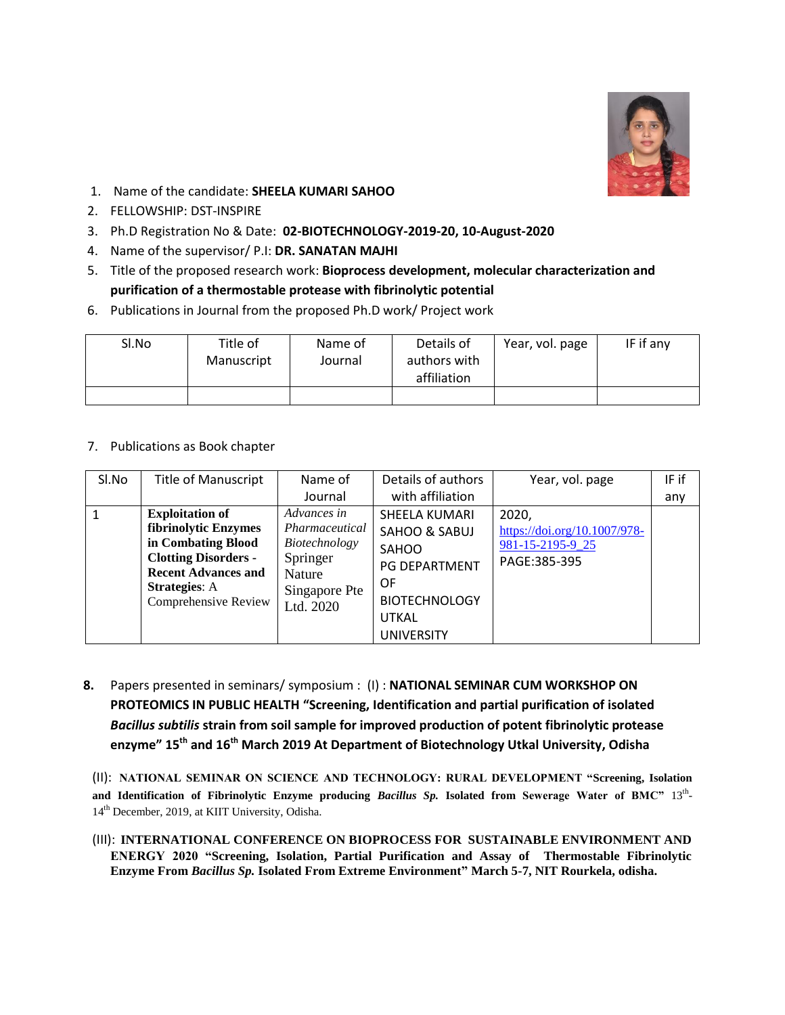

- 1. Name of the candidate: **SHEELA KUMARI SAHOO**
- 2. FELLOWSHIP: DST-INSPIRE
- 3. Ph.D Registration No & Date: **02-BIOTECHNOLOGY-2019-20, 10-August-2020**
- 4. Name of the supervisor/ P.I: **DR. SANATAN MAJHI**
- 5. Title of the proposed research work: **Bioprocess development, molecular characterization and purification of a thermostable protease with fibrinolytic potential**
- 6. Publications in Journal from the proposed Ph.D work/ Project work

| Sl.No | Title of   | Name of | Details of   | Year, vol. page | IF if any |
|-------|------------|---------|--------------|-----------------|-----------|
|       | Manuscript | Journal | authors with |                 |           |
|       |            |         | affiliation  |                 |           |
|       |            |         |              |                 |           |

7. Publications as Book chapter

| Sl.No | <b>Title of Manuscript</b>                                                                                                                                                        | Name of                                                                                            | Details of authors                                                                     | Year, vol. page                                                           | IF if |
|-------|-----------------------------------------------------------------------------------------------------------------------------------------------------------------------------------|----------------------------------------------------------------------------------------------------|----------------------------------------------------------------------------------------|---------------------------------------------------------------------------|-------|
|       |                                                                                                                                                                                   | Journal                                                                                            | with affiliation                                                                       |                                                                           | any   |
|       | <b>Exploitation of</b><br>fibrinolytic Enzymes<br>in Combating Blood<br><b>Clotting Disorders -</b><br><b>Recent Advances and</b><br><b>Strategies:</b> A<br>Comprehensive Review | Advances in<br>Pharmaceutical<br>Biotechnology<br>Springer<br>Nature<br>Singapore Pte<br>Ltd. 2020 | SHEELA KUMARI<br>SAHOO & SABUJ<br>SAHOO<br>PG DEPARTMENT<br>0F<br><b>BIOTECHNOLOGY</b> | 2020,<br>https://doi.org/10.1007/978-<br>981-15-2195-9_25<br>PAGE:385-395 |       |
|       |                                                                                                                                                                                   |                                                                                                    | <b>UTKAL</b><br><b>UNIVERSITY</b>                                                      |                                                                           |       |

**8.** Papers presented in seminars/ symposium : (I) : **NATIONAL SEMINAR CUM WORKSHOP ON PROTEOMICS IN PUBLIC HEALTH "Screening, Identification and partial purification of isolated**  *Bacillus subtilis* **strain from soil sample for improved production of potent fibrinolytic protease enzyme" 15th and 16th March 2019 At Department of Biotechnology Utkal University, Odisha**

(II): **NATIONAL SEMINAR ON SCIENCE AND TECHNOLOGY: RURAL DEVELOPMENT "Screening, Isolation and Identification of Fibrinolytic Enzyme producing** *Bacillus Sp.* **Isolated from Sewerage Water of BMC"** 13th - 14th December, 2019, at KIIT University, Odisha.

(III): **INTERNATIONAL CONFERENCE ON BIOPROCESS FOR SUSTAINABLE ENVIRONMENT AND ENERGY 2020 "Screening, Isolation, Partial Purification and Assay of Thermostable Fibrinolytic Enzyme From** *Bacillus Sp.* **Isolated From Extreme Environment" March 5-7, NIT Rourkela, odisha.**